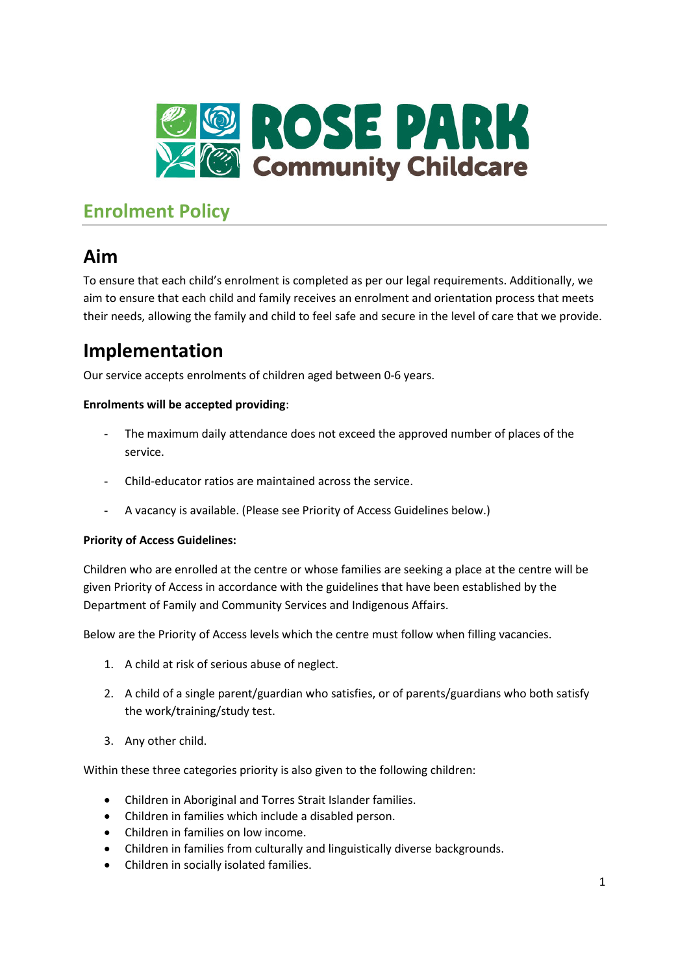

# **Enrolment Policy**

# **Aim**

To ensure that each child's enrolment is completed as per our legal requirements. Additionally, we aim to ensure that each child and family receives an enrolment and orientation process that meets their needs, allowing the family and child to feel safe and secure in the level of care that we provide.

# **Implementation**

Our service accepts enrolments of children aged between 0-6 years.

### **Enrolments will be accepted providing**:

- The maximum daily attendance does not exceed the approved number of places of the service.
- Child-educator ratios are maintained across the service.
- A vacancy is available. (Please see Priority of Access Guidelines below.)

### **Priority of Access Guidelines:**

Children who are enrolled at the centre or whose families are seeking a place at the centre will be given Priority of Access in accordance with the guidelines that have been established by the Department of Family and Community Services and Indigenous Affairs.

Below are the Priority of Access levels which the centre must follow when filling vacancies.

- 1. A child at risk of serious abuse of neglect.
- 2. A child of a single parent/guardian who satisfies, or of parents/guardians who both satisfy the work/training/study test.
- 3. Any other child.

Within these three categories priority is also given to the following children:

- Children in Aboriginal and Torres Strait Islander families.
- Children in families which include a disabled person.
- Children in families on low income.
- Children in families from culturally and linguistically diverse backgrounds.
- Children in socially isolated families.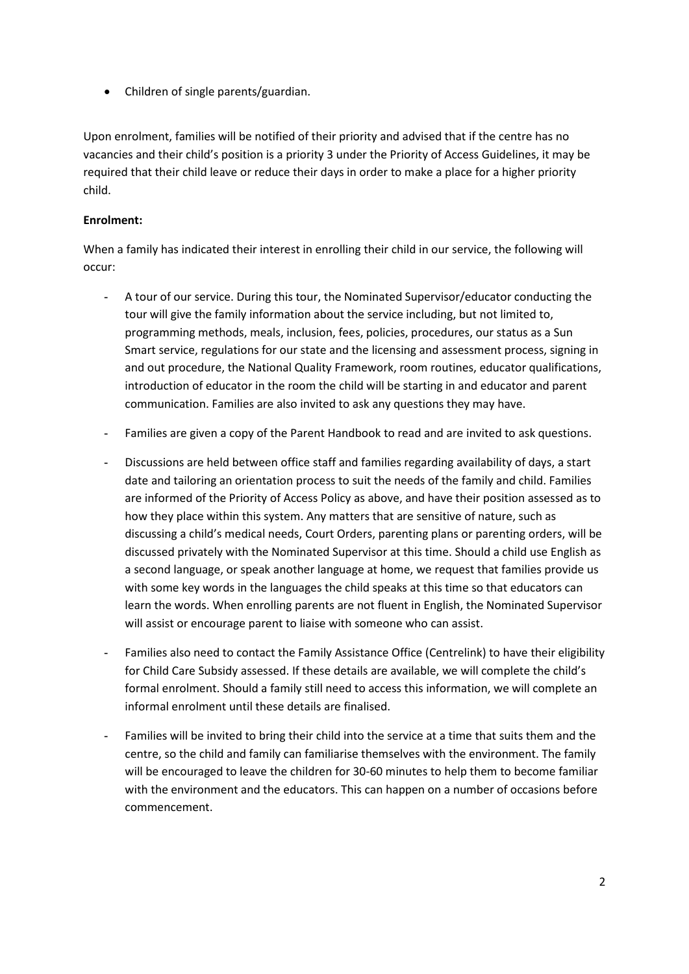• Children of single parents/guardian.

Upon enrolment, families will be notified of their priority and advised that if the centre has no vacancies and their child's position is a priority 3 under the Priority of Access Guidelines, it may be required that their child leave or reduce their days in order to make a place for a higher priority child.

#### **Enrolment:**

When a family has indicated their interest in enrolling their child in our service, the following will occur:

- A tour of our service. During this tour, the Nominated Supervisor/educator conducting the tour will give the family information about the service including, but not limited to, programming methods, meals, inclusion, fees, policies, procedures, our status as a Sun Smart service, regulations for our state and the licensing and assessment process, signing in and out procedure, the National Quality Framework, room routines, educator qualifications, introduction of educator in the room the child will be starting in and educator and parent communication. Families are also invited to ask any questions they may have.
- Families are given a copy of the Parent Handbook to read and are invited to ask questions.
- Discussions are held between office staff and families regarding availability of days, a start date and tailoring an orientation process to suit the needs of the family and child. Families are informed of the Priority of Access Policy as above, and have their position assessed as to how they place within this system. Any matters that are sensitive of nature, such as discussing a child's medical needs, Court Orders, parenting plans or parenting orders, will be discussed privately with the Nominated Supervisor at this time. Should a child use English as a second language, or speak another language at home, we request that families provide us with some key words in the languages the child speaks at this time so that educators can learn the words. When enrolling parents are not fluent in English, the Nominated Supervisor will assist or encourage parent to liaise with someone who can assist.
- Families also need to contact the Family Assistance Office (Centrelink) to have their eligibility for Child Care Subsidy assessed. If these details are available, we will complete the child's formal enrolment. Should a family still need to access this information, we will complete an informal enrolment until these details are finalised.
- Families will be invited to bring their child into the service at a time that suits them and the centre, so the child and family can familiarise themselves with the environment. The family will be encouraged to leave the children for 30-60 minutes to help them to become familiar with the environment and the educators. This can happen on a number of occasions before commencement.